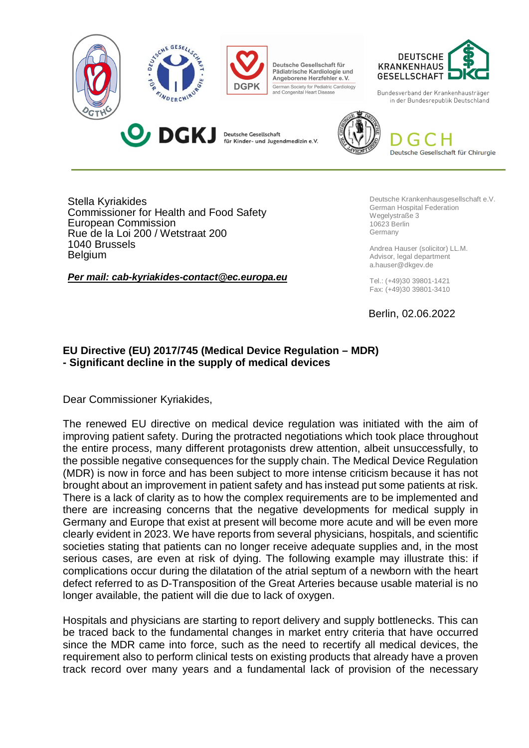

Stella Kyriakides Commissioner for Health and Food Safety European Commission Rue de la Loi 200 / Wetstraat 200 1040 Brussels **Belgium** 

*Per mail: cab-kyriakides-contact@ec.europa.eu*

Deutsche Krankenhausgesellschaft e.V. German Hospital Federation Wegelystraße 3 10623 Berlin Germany

Andrea Hauser (solicitor) LL.M. Advisor, legal department a.hauser@dkgev.de

Tel.: (+49)30 39801-1421 Fax: (+49)30 39801-3410

Berlin, 02.06.2022

## **EU Directive (EU) 2017/745 (Medical Device Regulation – MDR) - Significant decline in the supply of medical devices**

Dear Commissioner Kyriakides,

The renewed EU directive on medical device regulation was initiated with the aim of improving patient safety. During the protracted negotiations which took place throughout the entire process, many different protagonists drew attention, albeit unsuccessfully, to the possible negative consequences for the supply chain. The Medical Device Regulation (MDR) is now in force and has been subject to more intense criticism because it has not brought about an improvement in patient safety and has instead put some patients at risk. There is a lack of clarity as to how the complex requirements are to be implemented and there are increasing concerns that the negative developments for medical supply in Germany and Europe that exist at present will become more acute and will be even more clearly evident in 2023. We have reports from several physicians, hospitals, and scientific societies stating that patients can no longer receive adequate supplies and, in the most serious cases, are even at risk of dying. The following example may illustrate this: if complications occur during the dilatation of the atrial septum of a newborn with the heart defect referred to as D-Transposition of the Great Arteries because usable material is no longer available, the patient will die due to lack of oxygen.

Hospitals and physicians are starting to report delivery and supply bottlenecks. This can be traced back to the fundamental changes in market entry criteria that have occurred since the MDR came into force, such as the need to recertify all medical devices, the requirement also to perform clinical tests on existing products that already have a proven track record over many years and a fundamental lack of provision of the necessary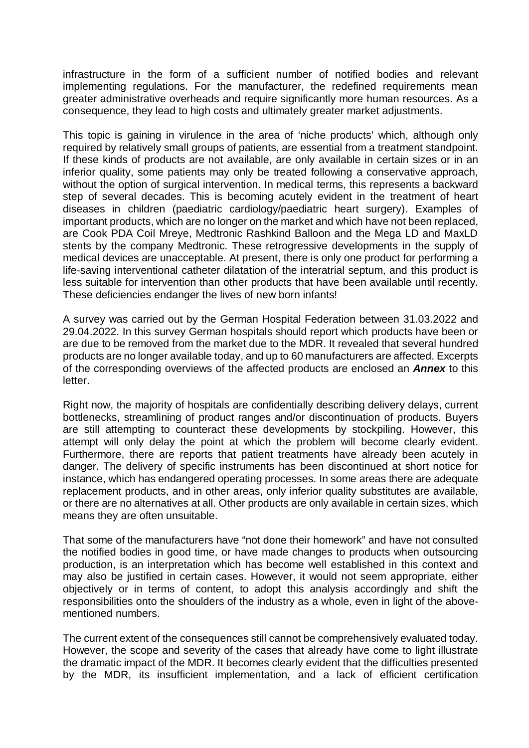infrastructure in the form of a sufficient number of notified bodies and relevant implementing regulations. For the manufacturer, the redefined requirements mean greater administrative overheads and require significantly more human resources. As a consequence, they lead to high costs and ultimately greater market adjustments.

This topic is gaining in virulence in the area of 'niche products' which, although only required by relatively small groups of patients, are essential from a treatment standpoint. If these kinds of products are not available, are only available in certain sizes or in an inferior quality, some patients may only be treated following a conservative approach, without the option of surgical intervention. In medical terms, this represents a backward step of several decades. This is becoming acutely evident in the treatment of heart diseases in children (paediatric cardiology/paediatric heart surgery). Examples of important products, which are no longer on the market and which have not been replaced, are Cook PDA Coil Mreye, Medtronic Rashkind Balloon and the Mega LD and MaxLD stents by the company Medtronic. These retrogressive developments in the supply of medical devices are unacceptable. At present, there is only one product for performing a life-saving interventional catheter dilatation of the interatrial septum, and this product is less suitable for intervention than other products that have been available until recently. These deficiencies endanger the lives of new born infants!

A survey was carried out by the German Hospital Federation between 31.03.2022 and 29.04.2022. In this survey German hospitals should report which products have been or are due to be removed from the market due to the MDR. It revealed that several hundred products are no longer available today, and up to 60 manufacturers are affected. Excerpts of the corresponding overviews of the affected products are enclosed an *Annex* to this letter.

Right now, the majority of hospitals are confidentially describing delivery delays, current bottlenecks, streamlining of product ranges and/or discontinuation of products. Buyers are still attempting to counteract these developments by stockpiling. However, this attempt will only delay the point at which the problem will become clearly evident. Furthermore, there are reports that patient treatments have already been acutely in danger. The delivery of specific instruments has been discontinued at short notice for instance, which has endangered operating processes. In some areas there are adequate replacement products, and in other areas, only inferior quality substitutes are available, or there are no alternatives at all. Other products are only available in certain sizes, which means they are often unsuitable.

That some of the manufacturers have "not done their homework" and have not consulted the notified bodies in good time, or have made changes to products when outsourcing production, is an interpretation which has become well established in this context and may also be justified in certain cases. However, it would not seem appropriate, either objectively or in terms of content, to adopt this analysis accordingly and shift the responsibilities onto the shoulders of the industry as a whole, even in light of the abovementioned numbers.

The current extent of the consequences still cannot be comprehensively evaluated today. However, the scope and severity of the cases that already have come to light illustrate the dramatic impact of the MDR. It becomes clearly evident that the difficulties presented by the MDR, its insufficient implementation, and a lack of efficient certification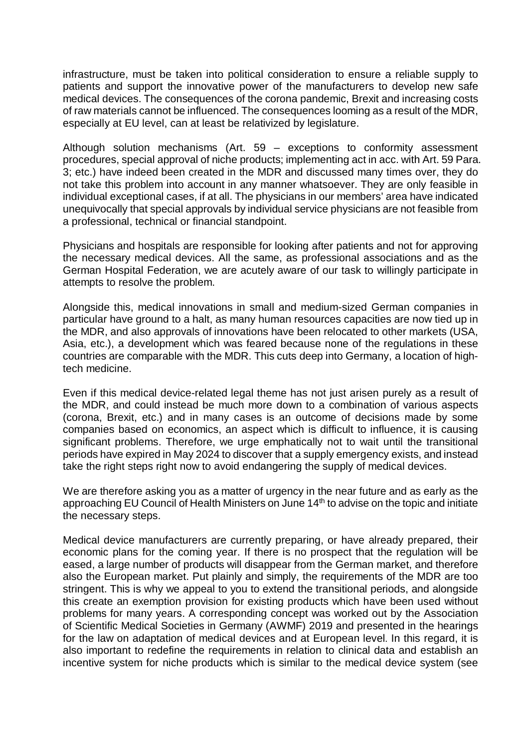infrastructure, must be taken into political consideration to ensure a reliable supply to patients and support the innovative power of the manufacturers to develop new safe medical devices. The consequences of the corona pandemic, Brexit and increasing costs of raw materials cannot be influenced. The consequences looming as a result of the MDR, especially at EU level, can at least be relativized by legislature.

Although solution mechanisms (Art. 59 – exceptions to conformity assessment procedures, special approval of niche products; implementing act in acc. with Art. 59 Para. 3; etc.) have indeed been created in the MDR and discussed many times over, they do not take this problem into account in any manner whatsoever. They are only feasible in individual exceptional cases, if at all. The physicians in our members' area have indicated unequivocally that special approvals by individual service physicians are not feasible from a professional, technical or financial standpoint.

Physicians and hospitals are responsible for looking after patients and not for approving the necessary medical devices. All the same, as professional associations and as the German Hospital Federation, we are acutely aware of our task to willingly participate in attempts to resolve the problem.

Alongside this, medical innovations in small and medium-sized German companies in particular have ground to a halt, as many human resources capacities are now tied up in the MDR, and also approvals of innovations have been relocated to other markets (USA, Asia, etc.), a development which was feared because none of the regulations in these countries are comparable with the MDR. This cuts deep into Germany, a location of hightech medicine.

Even if this medical device-related legal theme has not just arisen purely as a result of the MDR, and could instead be much more down to a combination of various aspects (corona, Brexit, etc.) and in many cases is an outcome of decisions made by some companies based on economics, an aspect which is difficult to influence, it is causing significant problems. Therefore, we urge emphatically not to wait until the transitional periods have expired in May 2024 to discover that a supply emergency exists, and instead take the right steps right now to avoid endangering the supply of medical devices.

We are therefore asking you as a matter of urgency in the near future and as early as the approaching EU Council of Health Ministers on June 14<sup>th</sup> to advise on the topic and initiate the necessary steps.

Medical device manufacturers are currently preparing, or have already prepared, their economic plans for the coming year. If there is no prospect that the regulation will be eased, a large number of products will disappear from the German market, and therefore also the European market. Put plainly and simply, the requirements of the MDR are too stringent. This is why we appeal to you to extend the transitional periods, and alongside this create an exemption provision for existing products which have been used without problems for many years. A corresponding concept was worked out by the Association of Scientific Medical Societies in Germany (AWMF) 2019 and presented in the hearings for the law on adaptation of medical devices and at European level. In this regard, it is also important to redefine the requirements in relation to clinical data and establish an incentive system for niche products which is similar to the medical device system (see